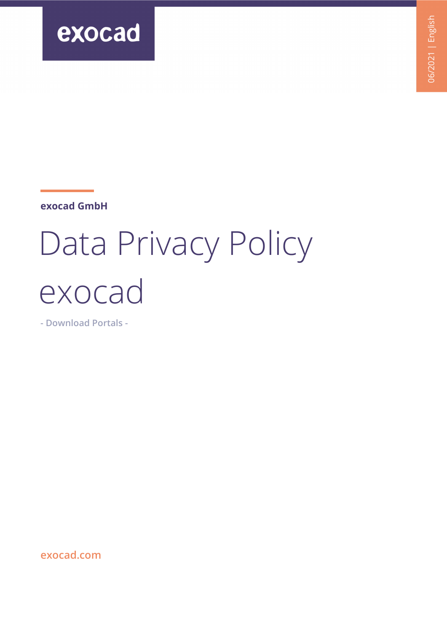

**exocad GmbH**

# Data Privacy Policy exocad

**- Download Portals -** 

**[exocad.com](https://www.exocad.com/)**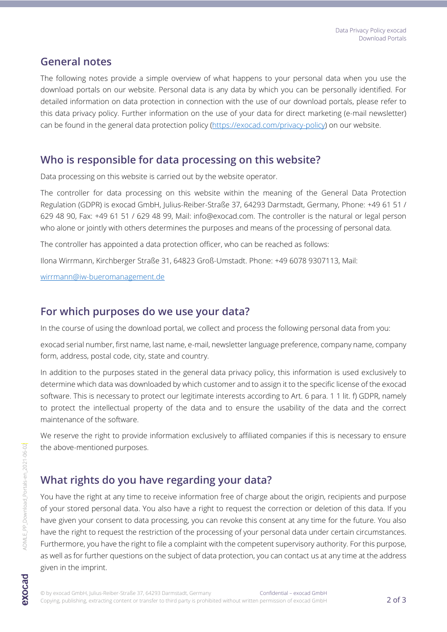#### **General notes**

The following notes provide a simple overview of what happens to your personal data when you use the download portals on our website. Personal data is any data by which you can be personally identified. For detailed information on data protection in connection with the use of our download portals, please refer to this data privacy policy. Further information on the use of your data for direct marketing (e-mail newsletter) can be found in the general data protection policy [\(https://exocad.com/privacy-policy\)](https://exocad.com/privacy-policy) on our website.

#### **Who is responsible for data processing on this website?**

Data processing on this website is carried out by the website operator.

The controller for data processing on this website within the meaning of the General Data Protection Regulation (GDPR) is exocad GmbH, Julius-Reiber-Straße 37, 64293 Darmstadt, Germany, Phone: +49 61 51 / 629 48 90, Fax: +49 61 51 / 629 48 99, Mail: info@exocad.com. The controller is the natural or legal person who alone or jointly with others determines the purposes and means of the processing of personal data.

The controller has appointed a data protection officer, who can be reached as follows:

Ilona Wirrmann, Kirchberger Straße 31, 64823 Groß-Umstadt. Phone: +49 6078 9307113, Mail:

[wirrmann@iw-bueromanagement.de](mailto:wirrmann@iw-bueromanagement.de)

## **For which purposes do we use your data?**

In the course of using the download portal, we collect and process the following personal data from you:

exocad serial number, first name, last name, e-mail, newsletter language preference, company name, company form, address, postal code, city, state and country.

In addition to the purposes stated in the general data privacy policy, this information is used exclusively to determine which data was downloaded by which customer and to assign it to the specific license of the exocad software. This is necessary to protect our legitimate interests according to Art. 6 para. 1 1 lit. f) GDPR, namely to protect the intellectual property of the data and to ensure the usability of the data and the correct maintenance of the software.

We reserve the right to provide information exclusively to affiliated companies if this is necessary to ensure the above-mentioned purposes.

## **What rights do you have regarding your data?**

You have the right at any time to receive information free of charge about the origin, recipients and purpose of your stored personal data. You also have a right to request the correction or deletion of this data. If you have given your consent to data processing, you can revoke this consent at any time for the future. You also have the right to request the restriction of the processing of your personal data under certain circumstances. Furthermore, you have the right to file a complaint with the competent supervisory authority. For this purpose, as well as for further questions on the subject of data protection, you can contact us at any time at the address given in the imprint.